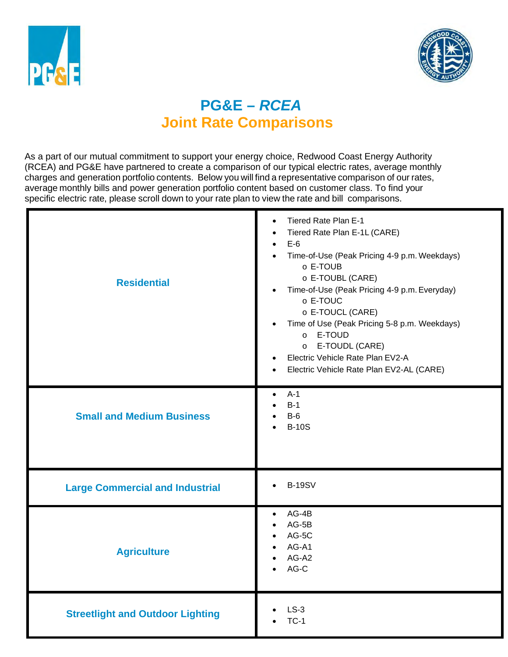



# **PG&E –** *RCEA*  **Joint Rate Comparisons**

 charges and generation portfolio contents. Below you will find a representative comparison of our rates, As a part of our mutual commitment to support your energy choice, Redwood Coast Energy Authority (RCEA) and PG&E have partnered to create a comparison of our typical electric rates, average monthly average monthly bills and power generation portfolio content based on customer class. To find your specific electric rate, please scroll down to your rate plan to view the rate and bill comparisons.

| <b>Residential</b>                      | Tiered Rate Plan E-1<br>$\bullet$<br>Tiered Rate Plan E-1L (CARE)<br>$E-6$<br>$\bullet$<br>Time-of-Use (Peak Pricing 4-9 p.m. Weekdays)<br>$\bullet$<br>o E-TOUB<br>o E-TOUBL (CARE)<br>Time-of-Use (Peak Pricing 4-9 p.m. Everyday)<br>$\bullet$<br>o E-TOUC<br>o E-TOUCL (CARE)<br>Time of Use (Peak Pricing 5-8 p.m. Weekdays)<br>$\bullet$<br>o E-TOUD<br>E-TOUDL (CARE)<br>$\circ$<br>Electric Vehicle Rate Plan EV2-A<br>Electric Vehicle Rate Plan EV2-AL (CARE) |
|-----------------------------------------|-------------------------------------------------------------------------------------------------------------------------------------------------------------------------------------------------------------------------------------------------------------------------------------------------------------------------------------------------------------------------------------------------------------------------------------------------------------------------|
| <b>Small and Medium Business</b>        | $A-1$<br>$\bullet$<br>$B-1$<br>$B-6$<br><b>B-10S</b><br>$\bullet$                                                                                                                                                                                                                                                                                                                                                                                                       |
| <b>Large Commercial and Industrial</b>  | <b>B-19SV</b><br>$\bullet$                                                                                                                                                                                                                                                                                                                                                                                                                                              |
| <b>Agriculture</b>                      | AG-4B<br>$\bullet$<br>$AG-5B$<br>$\bullet$<br>AG-5C<br>$\bullet$<br>AG-A1<br>AG-A2<br>AG-C                                                                                                                                                                                                                                                                                                                                                                              |
| <b>Streetlight and Outdoor Lighting</b> | $LS-3$<br>$TC-1$                                                                                                                                                                                                                                                                                                                                                                                                                                                        |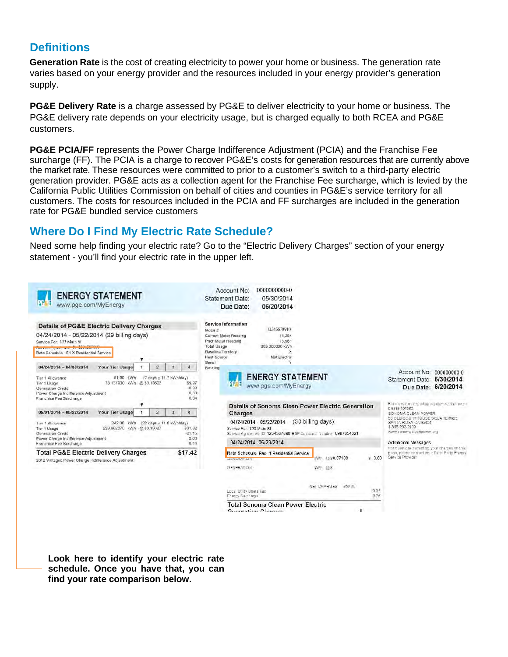# **Definitions**

Generation Rate is the cost of creating electricity to power your home or business. The generation rate varies based on your energy provider and the resources included in your energy provider's generation supply.

**PG&E Delivery Rate** is a charge assessed by PG&E to deliver electricity to your home or business. The PG&E delivery rate depends on your electricity usage, but is charged equally to both RCEA and PG&E customers.

**PG&E PCIA/FF** represents the Power Charge Indifference Adjustment (PCIA) and the Franchise Fee surcharge (FF). The PCIA is a charge to recover PG&E's costs for generation resources that are currently above the market rate. These resources were committed to prior to a customer's switch to a third-party electric generation provider. PG&E acts as a collection agent for the Franchise Fee surcharge, which is levied by the California Public Utilities Commission on behalf of cities and counties in PG&E's service territory for all customers. The costs for resources included in the PCIA and FF surcharges are included in the generation rate for PG&E bundled service customers

# **Where Do I Find My Electric Rate Schedule?**

 Need some help finding your electric rate? Go to the "Electric Delivery Charges" section of your energy statement - you'll find your electric rate in the upper left.

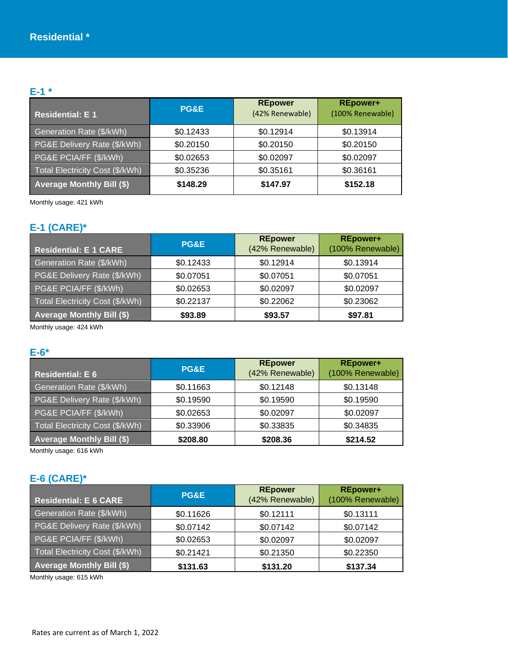# **E-1 \***

| <b>Residential: E1</b>           | <b>PG&amp;E</b> | <b>REpower</b><br>(42% Renewable) | <b>REpower+</b><br>(100% Renewable) |
|----------------------------------|-----------------|-----------------------------------|-------------------------------------|
| Generation Rate (\$/kWh)         | \$0.12433       | \$0.12914                         | \$0.13914                           |
| PG&E Delivery Rate (\$/kWh)      | \$0.20150       | \$0.20150                         | \$0.20150                           |
| PG&E PCIA/FF (\$/kWh)            | \$0.02653       | \$0.02097                         | \$0.02097                           |
| Total Electricity Cost (\$/kWh)  | \$0.35236       | \$0.35161                         | \$0.36161                           |
| <b>Average Monthly Bill (\$)</b> | \$148.29        | \$147.97                          | \$152.18                            |

Monthly usage: 421 kWh

# **E-1 (CARE)\***

| <b>Residential: E 1 CARE</b>     | PG&E      | <b>REpower</b><br>(42% Renewable) | <b>REpower+</b><br>(100% Renewable) |
|----------------------------------|-----------|-----------------------------------|-------------------------------------|
| Generation Rate (\$/kWh)         | \$0.12433 | \$0.12914                         | \$0.13914                           |
| PG&E Delivery Rate (\$/kWh)      | \$0.07051 | \$0.07051                         | \$0.07051                           |
| PG&E PCIA/FF (\$/kWh)            | \$0.02653 | \$0.02097                         | \$0.02097                           |
| Total Electricity Cost (\$/kWh)  | \$0.22137 | \$0.22062                         | \$0.23062                           |
| <b>Average Monthly Bill (\$)</b> | \$93.89   | \$93.57                           | \$97.81                             |

Monthly usage: 424 kWh

#### **E-6\***

| <b>Residential: E 6</b>          | PG&E      | <b>REpower</b><br>(42% Renewable) | <b>REpower+</b><br>(100% Renewable) |
|----------------------------------|-----------|-----------------------------------|-------------------------------------|
| Generation Rate (\$/kWh)         | \$0.11663 | \$0.12148                         | \$0.13148                           |
| PG&E Delivery Rate (\$/kWh)      | \$0.19590 | \$0.19590                         | \$0.19590                           |
| PG&E PCIA/FF (\$/kWh)            | \$0.02653 | \$0.02097                         | \$0.02097                           |
| Total Electricity Cost (\$/kWh)  | \$0.33906 | \$0.33835                         | \$0.34835                           |
| <b>Average Monthly Bill (\$)</b> | \$208.80  | \$208.36                          | \$214.52                            |

Monthly usage: 616 kWh

### **E-6 (CARE)\***

| <b>Residential: E 6 CARE</b>     | PG&E      | <b>REpower</b><br>(42% Renewable) | <b>REpower+</b><br>(100% Renewable) |
|----------------------------------|-----------|-----------------------------------|-------------------------------------|
| Generation Rate (\$/kWh)         | \$0.11626 | \$0.12111                         | \$0.13111                           |
| PG&E Delivery Rate (\$/kWh)      | \$0.07142 | \$0.07142                         | \$0.07142                           |
| PG&E PCIA/FF (\$/kWh)            | \$0.02653 | \$0.02097                         | \$0.02097                           |
| Total Electricity Cost (\$/kWh)  | \$0.21421 | \$0.21350                         | \$0.22350                           |
| <b>Average Monthly Bill (\$)</b> | \$131.63  | \$131.20                          | \$137.34                            |

Monthly usage: 615 kWh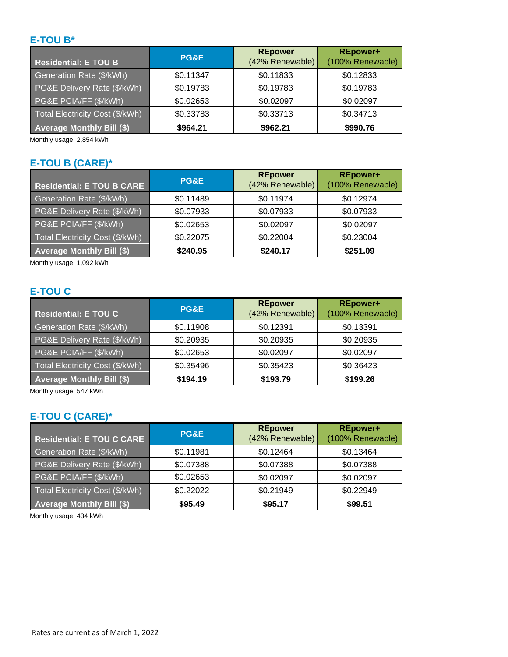## **E-TOU B\***

| <b>Residential: E TOU B</b>      | PG&E      | <b>REpower</b><br>(42% Renewable) | <b>REpower+</b><br>(100% Renewable) |
|----------------------------------|-----------|-----------------------------------|-------------------------------------|
| Generation Rate (\$/kWh)         | \$0.11347 | \$0.11833                         | \$0.12833                           |
| PG&E Delivery Rate (\$/kWh)      | \$0.19783 | \$0.19783                         | \$0.19783                           |
| PG&E PCIA/FF (\$/kWh)            | \$0.02653 | \$0.02097                         | \$0.02097                           |
| Total Electricity Cost (\$/kWh)  | \$0.33783 | \$0.33713                         | \$0.34713                           |
| <b>Average Monthly Bill (\$)</b> | \$964.21  | \$962.21                          | \$990.76                            |

Monthly usage: 2,854 kWh

# **E-TOU B (CARE)\***

| Residential: E TOU B CARE        | <b>PG&amp;E</b> | <b>REpower</b><br>(42% Renewable) | <b>REpower+</b><br>(100% Renewable) |
|----------------------------------|-----------------|-----------------------------------|-------------------------------------|
| Generation Rate (\$/kWh)         | \$0.11489       | \$0.11974                         | \$0.12974                           |
| PG&E Delivery Rate (\$/kWh)      | \$0.07933       | \$0.07933                         | \$0.07933                           |
| PG&E PCIA/FF (\$/kWh)            | \$0.02653       | \$0.02097                         | \$0.02097                           |
| Total Electricity Cost (\$/kWh)  | \$0.22075       | \$0.22004                         | \$0.23004                           |
| <b>Average Monthly Bill (\$)</b> | \$240.95        | \$240.17                          | \$251.09                            |

Monthly usage: 1,092 kWh

# **E-TOU C**

| <b>Residential: E TOU C</b>      | PG&E      | <b>REpower</b><br>(42% Renewable) | <b>REpower+</b><br>(100% Renewable) |
|----------------------------------|-----------|-----------------------------------|-------------------------------------|
| Generation Rate (\$/kWh)         | \$0.11908 | \$0.12391                         | \$0.13391                           |
| PG&E Delivery Rate (\$/kWh)      | \$0.20935 | \$0.20935                         | \$0.20935                           |
| PG&E PCIA/FF (\$/kWh)            | \$0.02653 | \$0.02097                         | \$0.02097                           |
| Total Electricity Cost (\$/kWh)  | \$0.35496 | \$0.35423                         | \$0.36423                           |
| <b>Average Monthly Bill (\$)</b> | \$194.19  | \$193.79                          | \$199.26                            |

Monthly usage: 547 kWh

# **E-TOU C (CARE)\***

| <b>Residential: E TOU C CARE</b> | PG&E      | <b>REpower</b><br>(42% Renewable) | <b>REpower+</b><br>(100% Renewable) |
|----------------------------------|-----------|-----------------------------------|-------------------------------------|
| Generation Rate (\$/kWh)         | \$0.11981 | \$0.12464                         | \$0.13464                           |
| PG&E Delivery Rate (\$/kWh)      | \$0.07388 | \$0.07388                         | \$0.07388                           |
| PG&E PCIA/FF (\$/kWh)            | \$0.02653 | \$0.02097                         | \$0.02097                           |
| Total Electricity Cost (\$/kWh)  | \$0.22022 | \$0.21949                         | \$0.22949                           |
| <b>Average Monthly Bill (\$)</b> | \$95.49   | \$95.17                           | \$99.51                             |

Monthly usage: 434 kWh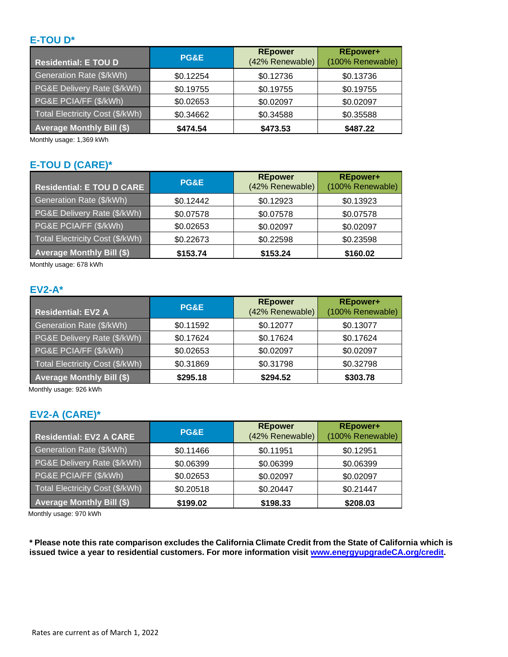### **E-TOU D\***

| Residential: E TOU D             | <b>PG&amp;E</b> | <b>REpower</b><br>(42% Renewable) | <b>REpower+</b><br>(100% Renewable) |
|----------------------------------|-----------------|-----------------------------------|-------------------------------------|
| Generation Rate (\$/kWh)         | \$0.12254       | \$0.12736                         | \$0.13736                           |
| PG&E Delivery Rate (\$/kWh)      | \$0.19755       | \$0.19755                         | \$0.19755                           |
| PG&E PCIA/FF (\$/kWh)            | \$0.02653       | \$0.02097                         | \$0.02097                           |
| Total Electricity Cost (\$/kWh)  | \$0.34662       | \$0.34588                         | \$0.35588                           |
| <b>Average Monthly Bill (\$)</b> | \$474.54        | \$473.53                          | \$487.22                            |

Monthly usage: 1,369 kWh

## **E-TOU D (CARE)\***

| <b>Residential: E TOU D CARE</b> | PG&E      | <b>REpower</b><br>(42% Renewable) | <b>REpower+</b><br>(100% Renewable) |
|----------------------------------|-----------|-----------------------------------|-------------------------------------|
| Generation Rate (\$/kWh)         | \$0.12442 | \$0.12923                         | \$0.13923                           |
| PG&E Delivery Rate (\$/kWh)      | \$0.07578 | \$0.07578                         | \$0.07578                           |
| PG&E PCIA/FF (\$/kWh)            | \$0.02653 | \$0.02097                         | \$0.02097                           |
| Total Electricity Cost (\$/kWh)  | \$0.22673 | \$0.22598                         | \$0.23598                           |
| <b>Average Monthly Bill (\$)</b> | \$153.74  | \$153.24                          | \$160.02                            |

Monthly usage: 678 kWh

## **EV2-A\***

| <b>Residential: EV2 A</b>        | <b>PG&amp;E</b> | <b>REpower</b><br>(42% Renewable) | <b>REpower+</b><br>(100% Renewable) |
|----------------------------------|-----------------|-----------------------------------|-------------------------------------|
| Generation Rate (\$/kWh)         | \$0.11592       | \$0.12077                         | \$0.13077                           |
| PG&E Delivery Rate (\$/kWh)      | \$0.17624       | \$0.17624                         | \$0.17624                           |
| PG&E PCIA/FF (\$/kWh)            | \$0.02653       | \$0.02097                         | \$0.02097                           |
| Total Electricity Cost (\$/kWh)  | \$0.31869       | \$0.31798                         | \$0.32798                           |
| <b>Average Monthly Bill (\$)</b> | \$295.18        | \$294.52                          | \$303.78                            |

Monthly usage: 926 kWh

### **EV2-A (CARE)\***

| <b>Residential: EV2 A CARE</b>   | <b>PG&amp;E</b> | <b>REpower</b><br>(42% Renewable) | <b>REpower+</b><br>(100% Renewable) |
|----------------------------------|-----------------|-----------------------------------|-------------------------------------|
| Generation Rate (\$/kWh)         | \$0.11466       | \$0.11951                         | \$0.12951                           |
| PG&E Delivery Rate (\$/kWh)      | \$0.06399       | \$0.06399                         | \$0.06399                           |
| PG&E PCIA/FF (\$/kWh)            | \$0.02653       | \$0.02097                         | \$0.02097                           |
| Total Electricity Cost (\$/kWh)  | \$0.20518       | \$0.20447                         | \$0.21447                           |
| <b>Average Monthly Bill (\$)</b> | \$199.02        | \$198.33                          | \$208.03                            |

Monthly usage: 970 kWh

 **\* Please note this rate comparison excludes the California Climate Credit from the State of California which is issued twice a year to residential customers. For more information visit [www.energyupgradeCA.org/credit.](www.energyupgradeCA.org/credit)**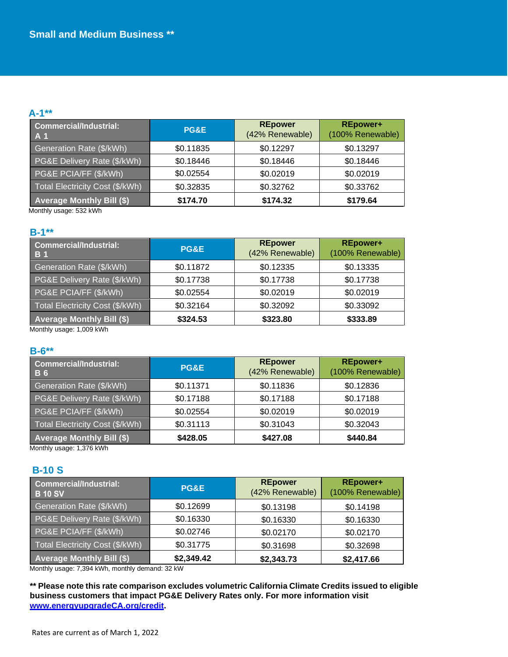#### **A-1\*\***

| Commercial/Industrial:<br>A 1          | PG&E      | <b>REpower</b><br>(42% Renewable) | <b>REpower+</b><br>(100% Renewable) |
|----------------------------------------|-----------|-----------------------------------|-------------------------------------|
| Generation Rate (\$/kWh)               | \$0.11835 | \$0.12297                         | \$0.13297                           |
| <b>PG&amp;E Delivery Rate (\$/kWh)</b> | \$0.18446 | \$0.18446                         | \$0.18446                           |
| PG&E PCIA/FF (\$/kWh)                  | \$0.02554 | \$0.02019                         | \$0.02019                           |
| Total Electricity Cost (\$/kWh)        | \$0.32835 | \$0.32762                         | \$0.33762                           |
| <b>Average Monthly Bill (\$)</b>       | \$174.70  | \$174.32                          | \$179.64                            |

Monthly usage: 532 kWh

#### **B-1\*\***

| <b>Commercial/Industrial:</b><br><b>B</b> 1 | PG&E      | <b>REpower</b><br>(42% Renewable) | <b>REpower+</b><br>(100% Renewable) |
|---------------------------------------------|-----------|-----------------------------------|-------------------------------------|
| Generation Rate (\$/kWh)                    | \$0.11872 | \$0.12335                         | \$0.13335                           |
| PG&E Delivery Rate (\$/kWh)                 | \$0.17738 | \$0.17738                         | \$0.17738                           |
| PG&E PCIA/FF (\$/kWh)                       | \$0.02554 | \$0.02019                         | \$0.02019                           |
| Total Electricity Cost (\$/kWh)             | \$0.32164 | \$0.32092                         | \$0.33092                           |
| <b>Average Monthly Bill (\$)</b>            | \$324.53  | \$323.80                          | \$333.89                            |

Monthly usage: 1,009 kWh

#### **B-6\*\***

| Commercial/Industrial:<br><b>B6</b> | PG&E      | <b>REpower</b><br>(42% Renewable) | <b>REpower+</b><br>(100% Renewable) |
|-------------------------------------|-----------|-----------------------------------|-------------------------------------|
| Generation Rate (\$/kWh)            | \$0.11371 | \$0.11836                         | \$0.12836                           |
| PG&E Delivery Rate (\$/kWh)         | \$0.17188 | \$0.17188                         | \$0.17188                           |
| PG&E PCIA/FF (\$/kWh)               | \$0.02554 | \$0.02019                         | \$0.02019                           |
| Total Electricity Cost (\$/kWh)     | \$0.31113 | \$0.31043                         | \$0.32043                           |
| <b>Average Monthly Bill (\$)</b>    | \$428.05  | \$427.08                          | \$440.84                            |

Monthly usage: 1,376 kWh

### **B-10 S**

| Commercial/Industrial:<br><b>B</b> 10 SV | <b>PG&amp;E</b> | <b>REpower</b><br>(42% Renewable) | <b>REpower+</b><br>(100% Renewable) |
|------------------------------------------|-----------------|-----------------------------------|-------------------------------------|
| Generation Rate (\$/kWh)                 | \$0.12699       | \$0.13198                         | \$0.14198                           |
| PG&E Delivery Rate (\$/kWh)              | \$0.16330       | \$0.16330                         | \$0.16330                           |
| PG&E PCIA/FF (\$/kWh)                    | \$0.02746       | \$0.02170                         | \$0.02170                           |
| Total Electricity Cost (\$/kWh)          | \$0.31775       | \$0.31698                         | \$0.32698                           |
| <b>Average Monthly Bill (\$)</b>         | \$2,349.42      | \$2,343.73                        | \$2,417.66                          |

Monthly usage: 7,394 kWh, monthly demand: 32 kW

 **\*\* Please note this rate comparison excludes volumetric California Climate Credits issued to eligible business customers that impact PG&E Delivery Rates only. For more information visit [www.energyupgradeCA.org/credit.](http://www.energyupgradeca.org/credit)**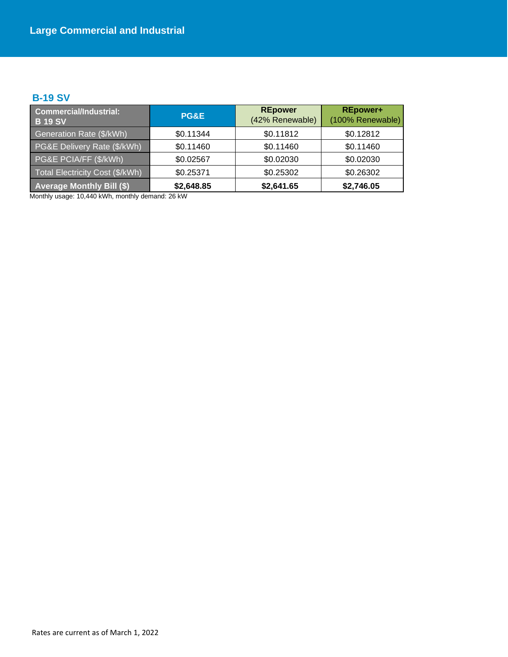### **B-19 SV**

| <b>Commercial/Industrial:</b><br><b>B 19 SV</b> | PG&E       | <b>REpower</b><br>(42% Renewable) | <b>REpower+</b><br>(100% Renewable) |
|-------------------------------------------------|------------|-----------------------------------|-------------------------------------|
| Generation Rate (\$/kWh)                        | \$0.11344  | \$0.11812                         | \$0.12812                           |
| PG&E Delivery Rate (\$/kWh)                     | \$0.11460  | \$0.11460                         | \$0.11460                           |
| PG&E PCIA/FF (\$/kWh)                           | \$0.02567  | \$0.02030                         | \$0.02030                           |
| Total Electricity Cost (\$/kWh)                 | \$0.25371  | \$0.25302                         | \$0.26302                           |
| <b>Average Monthly Bill (\$)</b>                | \$2,648.85 | \$2,641.65                        | \$2,746.05                          |

Monthly usage: 10,440 kWh, monthly demand: 26 kW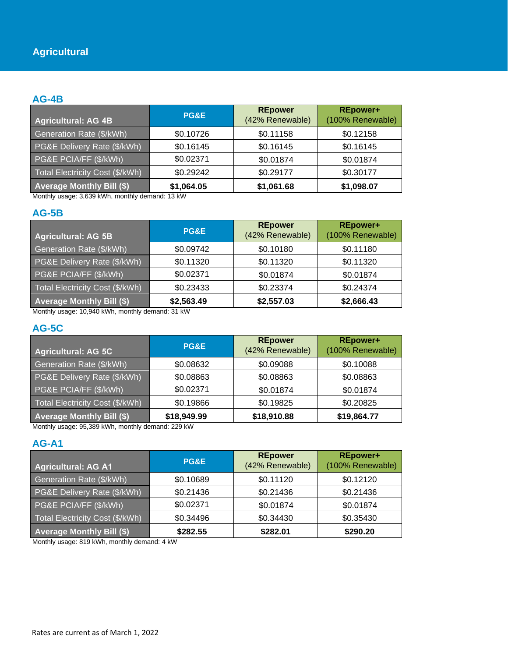#### **AG-4B**

| <b>Agricultural: AG 4B</b>       | <b>PG&amp;E</b> | <b>REpower</b><br>(42% Renewable) | <b>REpower+</b><br>(100% Renewable) |
|----------------------------------|-----------------|-----------------------------------|-------------------------------------|
| Generation Rate (\$/kWh)         | \$0.10726       | \$0.11158                         | \$0.12158                           |
| PG&E Delivery Rate (\$/kWh)      | \$0.16145       | \$0.16145                         | \$0.16145                           |
| PG&E PCIA/FF (\$/kWh)            | \$0.02371       | \$0.01874                         | \$0.01874                           |
| Total Electricity Cost (\$/kWh)  | \$0.29242       | \$0.29177                         | \$0.30177                           |
| <b>Average Monthly Bill (\$)</b> | \$1,064.05      | \$1,061.68                        | \$1,098.07                          |

Monthly usage: 3,639 kWh, monthly demand: 13 kW

### **AG-5B**

| <b>Agricultural: AG 5B</b>            | PG&E            | <b>REpower</b><br>(42% Renewable) | <b>REpower+</b><br>(100% Renewable) |
|---------------------------------------|-----------------|-----------------------------------|-------------------------------------|
| Generation Rate (\$/kWh)              | \$0.09742       | \$0.10180                         | \$0.11180                           |
| PG&E Delivery Rate (\$/kWh)           | \$0.11320       | \$0.11320                         | \$0.11320                           |
| PG&E PCIA/FF (\$/kWh)                 | \$0.02371       | \$0.01874                         | \$0.01874                           |
| Total Electricity Cost (\$/kWh)       | \$0.23433       | \$0.23374                         | \$0.24374                           |
| <b>Average Monthly Bill (\$)</b><br>. | \$2,563.49<br>. | \$2,557.03                        | \$2,666.43                          |

Monthly usage: 10,940 kWh, monthly demand: 31 kW

### **AG-5C**

| <b>Agricultural: AG 5C</b>             | PG&E        | <b>REpower</b><br>(42% Renewable) | <b>REpower+</b><br>(100% Renewable) |
|----------------------------------------|-------------|-----------------------------------|-------------------------------------|
| Generation Rate (\$/kWh)               | \$0.08632   | \$0.09088                         | \$0.10088                           |
| PG&E Delivery Rate (\$/kWh)            | \$0.08863   | \$0.08863                         | \$0.08863                           |
| PG&E PCIA/FF (\$/kWh)                  | \$0.02371   | \$0.01874                         | \$0.01874                           |
| <b>Total Electricity Cost (\$/kWh)</b> | \$0.19866   | \$0.19825                         | \$0.20825                           |
| <b>Average Monthly Bill (\$)</b>       | \$18,949.99 | \$18,910.88                       | \$19,864.77                         |

Monthly usage: 95,389 kWh, monthly demand: 229 kW

### **AG-A1**

| <b>Agricultural: AG A1</b>       | PG&E      | <b>REpower</b><br>(42% Renewable) | <b>REpower+</b><br>(100% Renewable) |
|----------------------------------|-----------|-----------------------------------|-------------------------------------|
| Generation Rate (\$/kWh)         | \$0.10689 | \$0.11120                         | \$0.12120                           |
| PG&E Delivery Rate (\$/kWh)      | \$0.21436 | \$0.21436                         | \$0.21436                           |
| PG&E PCIA/FF (\$/kWh)            | \$0.02371 | \$0.01874                         | \$0.01874                           |
| Total Electricity Cost (\$/kWh)  | \$0.34496 | \$0.34430                         | \$0.35430                           |
| <b>Average Monthly Bill (\$)</b> | \$282.55  | \$282.01                          | \$290.20                            |

Monthly usage: 819 kWh, monthly demand: 4 kW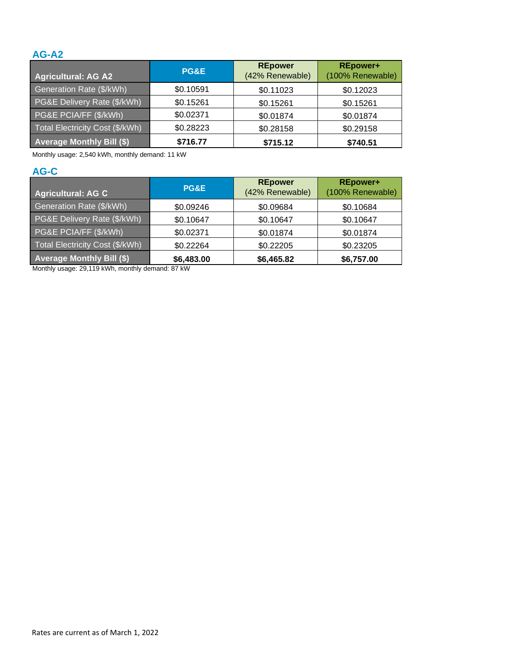### **AG-A2**

| <b>Agricultural: AG A2</b>       | <b>PG&amp;E</b> | <b>REpower</b><br>(42% Renewable) | <b>REpower+</b><br>(100% Renewable) |
|----------------------------------|-----------------|-----------------------------------|-------------------------------------|
| Generation Rate (\$/kWh)         | \$0.10591       | \$0.11023                         | \$0.12023                           |
| PG&E Delivery Rate (\$/kWh)      | \$0.15261       | \$0.15261                         | \$0.15261                           |
| PG&E PCIA/FF (\$/kWh)            | \$0.02371       | \$0.01874                         | \$0.01874                           |
| Total Electricity Cost (\$/kWh)  | \$0.28223       | \$0.28158                         | \$0.29158                           |
| <b>Average Monthly Bill (\$)</b> | \$716.77        | \$715.12                          | \$740.51                            |

Monthly usage: 2,540 kWh, monthly demand: 11 kW

# **AG-C**

| <b>Agricultural: AG C</b>        | PG&E       | <b>REpower</b><br>(42% Renewable) | <b>REpower+</b><br>(100% Renewable) |
|----------------------------------|------------|-----------------------------------|-------------------------------------|
| Generation Rate (\$/kWh)         | \$0.09246  | \$0.09684                         | \$0.10684                           |
| PG&E Delivery Rate (\$/kWh)      | \$0.10647  | \$0.10647                         | \$0.10647                           |
| PG&E PCIA/FF (\$/kWh)            | \$0.02371  | \$0.01874                         | \$0.01874                           |
| Total Electricity Cost (\$/kWh)  | \$0.22264  | \$0.22205                         | \$0.23205                           |
| <b>Average Monthly Bill (\$)</b> | \$6,483.00 | \$6,465.82                        | \$6,757.00                          |

Monthly usage: 29,119 kWh, monthly demand: 87 kW